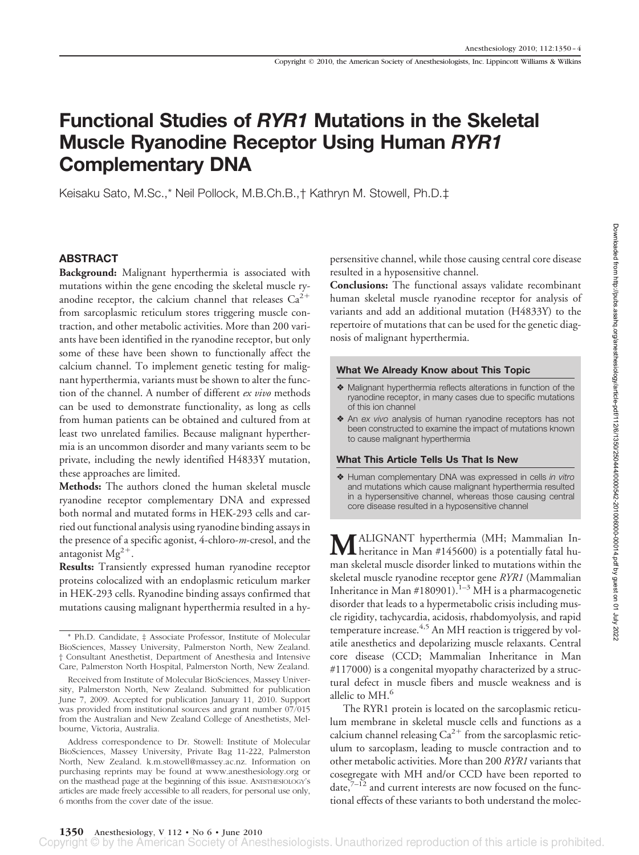# **Functional Studies of** *RYR1* **Mutations in the Skeletal Muscle Ryanodine Receptor Using Human** *RYR1* **Complementary DNA**

Keisaku Sato, M.Sc.,\* Neil Pollock, M.B.Ch.B.,† Kathryn M. Stowell, Ph.D.‡

# **ABSTRACT**

**Background:** Malignant hyperthermia is associated with mutations within the gene encoding the skeletal muscle ryanodine receptor, the calcium channel that releases  $Ca^{2+}$ from sarcoplasmic reticulum stores triggering muscle contraction, and other metabolic activities. More than 200 variants have been identified in the ryanodine receptor, but only some of these have been shown to functionally affect the calcium channel. To implement genetic testing for malignant hyperthermia, variants must be shown to alter the function of the channel. A number of different *ex vivo* methods can be used to demonstrate functionality, as long as cells from human patients can be obtained and cultured from at least two unrelated families. Because malignant hyperthermia is an uncommon disorder and many variants seem to be private, including the newly identified H4833Y mutation, these approaches are limited.

**Methods:** The authors cloned the human skeletal muscle ryanodine receptor complementary DNA and expressed both normal and mutated forms in HEK-293 cells and carried out functional analysis using ryanodine binding assays in the presence of a specific agonist, 4-chloro-*m*-cresol, and the antagonist  $Mg^{2+}$ .

**Results:** Transiently expressed human ryanodine receptor proteins colocalized with an endoplasmic reticulum marker in HEK-293 cells. Ryanodine binding assays confirmed that mutations causing malignant hyperthermia resulted in a hypersensitive channel, while those causing central core disease resulted in a hyposensitive channel.

**Conclusions:** The functional assays validate recombinant human skeletal muscle ryanodine receptor for analysis of variants and add an additional mutation (H4833Y) to the repertoire of mutations that can be used for the genetic diagnosis of malignant hyperthermia.

#### **What We Already Know about This Topic**

- ❖ Malignant hyperthermia reflects alterations in function of the ryanodine receptor, in many cases due to specific mutations of this ion channel
- ❖ An *ex vivo* analysis of human ryanodine receptors has not been constructed to examine the impact of mutations known to cause malignant hyperthermia

## **What This Article Tells Us That Is New**

❖ Human complementary DNA was expressed in cells *in vitro* and mutations which cause malignant hyperthermia resulted in a hypersensitive channel, whereas those causing central core disease resulted in a hyposensitive channel

**M**ALIGNANT hyperthermia (MH; Mammalian In-<br>heritance in Man #145600) is a potentially fatal human skeletal muscle disorder linked to mutations within the skeletal muscle ryanodine receptor gene *RYR1* (Mammalian Inheritance in Man #180901).<sup>1–3</sup> MH is a pharmacogenetic disorder that leads to a hypermetabolic crisis including muscle rigidity, tachycardia, acidosis, rhabdomyolysis, and rapid temperature increase.<sup>4,5</sup> An MH reaction is triggered by volatile anesthetics and depolarizing muscle relaxants. Central core disease (CCD; Mammalian Inheritance in Man #117000) is a congenital myopathy characterized by a structural defect in muscle fibers and muscle weakness and is allelic to  $MH<sup>6</sup>$ 

The RYR1 protein is located on the sarcoplasmic reticulum membrane in skeletal muscle cells and functions as a calcium channel releasing  $Ca^{2+}$  from the sarcoplasmic reticulum to sarcoplasm, leading to muscle contraction and to other metabolic activities. More than 200 *RYR1* variants that cosegregate with MH and/or CCD have been reported to date, $7^{-12}$  and current interests are now focused on the functional effects of these variants to both understand the molec-

<sup>\*</sup> Ph.D. Candidate, ‡ Associate Professor, Institute of Molecular BioSciences, Massey University, Palmerston North, New Zealand. † Consultant Anesthetist, Department of Anesthesia and Intensive Care, Palmerston North Hospital, Palmerston North, New Zealand.

Received from Institute of Molecular BioSciences, Massey University, Palmerston North, New Zealand. Submitted for publication June 7, 2009. Accepted for publication January 11, 2010. Support was provided from institutional sources and grant number 07/015 from the Australian and New Zealand College of Anesthetists, Melbourne, Victoria, Australia.

Address correspondence to Dr. Stowell: Institute of Molecular BioSciences, Massey University, Private Bag 11-222, Palmerston North, New Zealand. k.m.stowell@massey.ac.nz. Information on purchasing reprints may be found at www.anesthesiology.org or on the masthead page at the beginning of this issue. ANESTHESIOLOGY's articles are made freely accessible to all readers, for personal use only, 6 months from the cover date of the issue.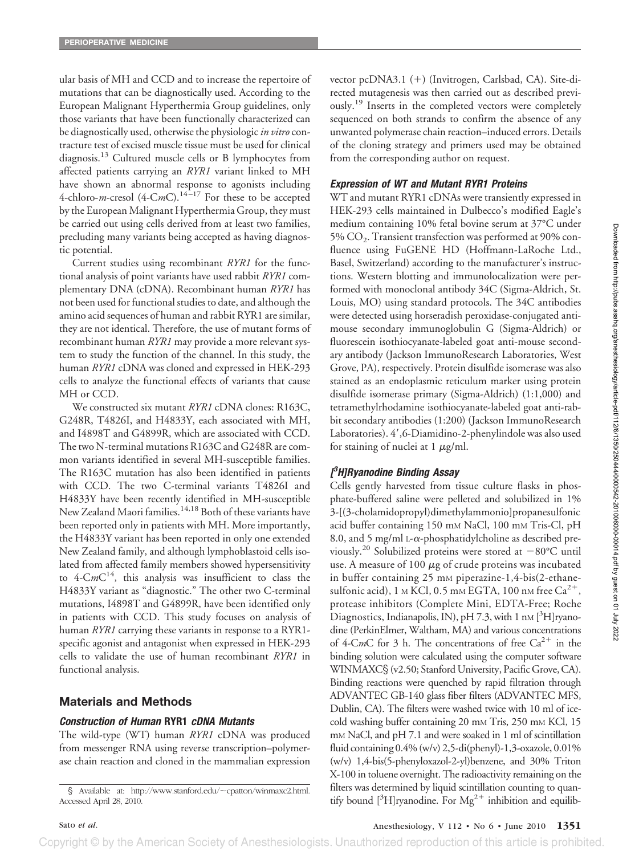ular basis of MH and CCD and to increase the repertoire of mutations that can be diagnostically used. According to the European Malignant Hyperthermia Group guidelines, only those variants that have been functionally characterized can be diagnostically used, otherwise the physiologic *in vitro* contracture test of excised muscle tissue must be used for clinical diagnosis.13 Cultured muscle cells or B lymphocytes from affected patients carrying an *RYR1* variant linked to MH have shown an abnormal response to agonists including 4-chloro-*m*-cresol (4-C*m*C).<sup>14-17</sup> For these to be accepted by the European Malignant Hyperthermia Group, they must be carried out using cells derived from at least two families, precluding many variants being accepted as having diagnostic potential.

Current studies using recombinant *RYR1* for the functional analysis of point variants have used rabbit *RYR1* complementary DNA (cDNA). Recombinant human *RYR1* has not been used for functional studies to date, and although the amino acid sequences of human and rabbit RYR1 are similar, they are not identical. Therefore, the use of mutant forms of recombinant human *RYR1* may provide a more relevant system to study the function of the channel. In this study, the human *RYR1* cDNA was cloned and expressed in HEK-293 cells to analyze the functional effects of variants that cause MH or CCD.

We constructed six mutant *RYR1* cDNA clones: R163C, G248R, T4826I, and H4833Y, each associated with MH, and I4898T and G4899R, which are associated with CCD. The two N-terminal mutations R163C and G248R are common variants identified in several MH-susceptible families. The R163C mutation has also been identified in patients with CCD. The two C-terminal variants T4826I and H4833Y have been recently identified in MH-susceptible New Zealand Maori families.<sup>14,18</sup> Both of these variants have been reported only in patients with MH. More importantly, the H4833Y variant has been reported in only one extended New Zealand family, and although lymphoblastoid cells isolated from affected family members showed hypersensitivity to  $4\text{-}CmC^{14}$ , this analysis was insufficient to class the H4833Y variant as "diagnostic." The other two C-terminal mutations, I4898T and G4899R, have been identified only in patients with CCD. This study focuses on analysis of human *RYR1* carrying these variants in response to a RYR1 specific agonist and antagonist when expressed in HEK-293 cells to validate the use of human recombinant *RYR1* in functional analysis.

## **Materials and Methods**

## *Construction of Human* **RYR1** *cDNA Mutants*

The wild-type (WT) human *RYR1* cDNA was produced from messenger RNA using reverse transcription–polymerase chain reaction and cloned in the mammalian expression vector pcDNA3.1 (+) (Invitrogen, Carlsbad, CA). Site-directed mutagenesis was then carried out as described previously.<sup>19</sup> Inserts in the completed vectors were completely sequenced on both strands to confirm the absence of any unwanted polymerase chain reaction–induced errors. Details of the cloning strategy and primers used may be obtained from the corresponding author on request.

## *Expression of WT and Mutant RYR1 Proteins*

WT and mutant RYR1 cDNAs were transiently expressed in HEK-293 cells maintained in Dulbecco's modified Eagle's medium containing 10% fetal bovine serum at 37°C under 5% CO<sub>2</sub>. Transient transfection was performed at 90% confluence using FuGENE HD (Hoffmann-LaRoche Ltd., Basel, Switzerland) according to the manufacturer's instructions. Western blotting and immunolocalization were performed with monoclonal antibody 34C (Sigma-Aldrich, St. Louis, MO) using standard protocols. The 34C antibodies were detected using horseradish peroxidase-conjugated antimouse secondary immunoglobulin G (Sigma-Aldrich) or fluorescein isothiocyanate-labeled goat anti-mouse secondary antibody (Jackson ImmunoResearch Laboratories, West Grove, PA), respectively. Protein disulfide isomerase was also stained as an endoplasmic reticulum marker using protein disulfide isomerase primary (Sigma-Aldrich) (1:1,000) and tetramethylrhodamine isothiocyanate-labeled goat anti-rabbit secondary antibodies (1:200) (Jackson ImmunoResearch Laboratories). 4',6-Diamidino-2-phenylindole was also used for staining of nuclei at  $1 \mu g/ml$ .

# *[ 3 H]Ryanodine Binding Assay*

Cells gently harvested from tissue culture flasks in phosphate-buffered saline were pelleted and solubilized in 1% 3-[(3-cholamidopropyl)dimethylammonio]propanesulfonic acid buffer containing 150 mM NaCl, 100 mM Tris-Cl, pH 8.0, and 5 mg/ml  $L-\alpha$ -phosphatidylcholine as described previously.<sup>20</sup> Solubilized proteins were stored at  $-80^{\circ}$ C until use. A measure of 100  $\mu$ g of crude proteins was incubated in buffer containing 25 mM piperazine-1,4-bis(2-ethanesulfonic acid), 1 M KCl, 0.5 mM EGTA, 100 nM free  $Ca^{2+}$ , protease inhibitors (Complete Mini, EDTA-Free; Roche Diagnostics, Indianapolis, IN), pH 7.3, with 1 nM [3H]ryanodine (PerkinElmer, Waltham, MA) and various concentrations of 4-C*m*C for 3 h. The concentrations of free  $Ca^{2+}$  in the binding solution were calculated using the computer software WINMAXC§ (v2.50; Stanford University, Pacific Grove, CA). Binding reactions were quenched by rapid filtration through ADVANTEC GB-140 glass fiber filters (ADVANTEC MFS, Dublin, CA). The filters were washed twice with 10 ml of icecold washing buffer containing 20 mm Tris, 250 mm KCl, 15 mM NaCl, and pH 7.1 and were soaked in 1 ml of scintillation fluid containing 0.4% (w/v) 2,5-di(phenyl)-1,3-oxazole, 0.01% (w/v) 1,4-bis(5-phenyloxazol-2-yl)benzene, and 30% Triton X-100 in toluene overnight. The radioactivity remaining on the filters was determined by liquid scintillation counting to quan-S Available at: http://www.stanford.edu/~cpatton/winmaxc2.html. Illters was determined by inquid scintination counting to quali-<br>cessed April 28, 2010. The example of the control of  $[3H]$ ryanodine. For  $Mg^{2+}$  inhibitio

Copyright © by the American Society of Anesthesiologists. Unauthorized reproduction of this article is prohibited.

Accessed April 28, 2010.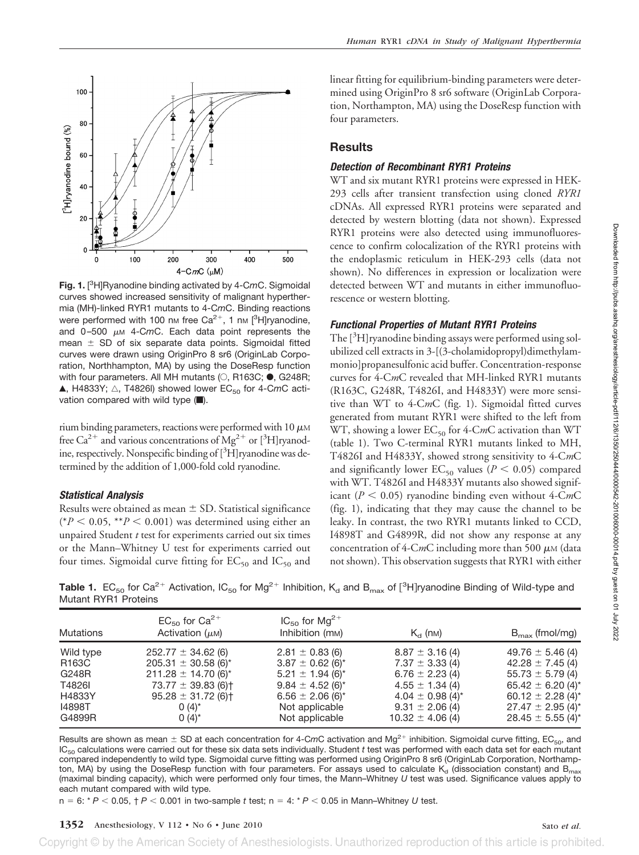

**Fig. 1.** [ 3 H]Ryanodine binding activated by 4-C*m*C. Sigmoidal curves showed increased sensitivity of malignant hyperthermia (MH)-linked RYR1 mutants to 4-C*m*C. Binding reactions were performed with 100 nm free Ca<sup>2+</sup>, 1 nm [<sup>3</sup>H]ryanodine, and  $0-500 \mu \text{m}$  4-CmC. Each data point represents the mean  $\pm$  SD of six separate data points. Sigmoidal fitted curves were drawn using OriginPro 8 sr6 (OriginLab Corporation, Northhampton, MA) by using the DoseResp function with four parameters. All MH mutants  $(O, R163C; \bullet, G248R;$ A, H4833Y;  $\triangle$ , T4826l) showed lower EC<sub>50</sub> for 4-CmC activation compared with wild type  $(\blacksquare)$ .

rium binding parameters, reactions were performed with 10  $\mu$ M free Ca<sup>2+</sup> and various concentrations of  $Mg^{2+}$  or [<sup>3</sup>H]ryanodine, respectively. Nonspecific binding of [3H]ryanodine was determined by the addition of 1,000-fold cold ryanodine.

## *Statistical Analysis*

Results were obtained as mean  $\pm$  SD. Statistical significance  $(*P < 0.05, **P < 0.001)$  was determined using either an unpaired Student *t* test for experiments carried out six times or the Mann–Whitney U test for experiments carried out four times. Sigmoidal curve fitting for  $EC_{50}$  and  $IC_{50}$  and linear fitting for equilibrium-binding parameters were determined using OriginPro 8 sr6 software (OriginLab Corporation, Northampton, MA) using the DoseResp function with four parameters.

# **Results**

## *Detection of Recombinant RYR1 Proteins*

WT and six mutant RYR1 proteins were expressed in HEK-293 cells after transient transfection using cloned *RYR1* cDNAs. All expressed RYR1 proteins were separated and detected by western blotting (data not shown). Expressed RYR1 proteins were also detected using immunofluorescence to confirm colocalization of the RYR1 proteins with the endoplasmic reticulum in HEK-293 cells (data not shown). No differences in expression or localization were detected between WT and mutants in either immunofluorescence or western blotting.

## *Functional Properties of Mutant RYR1 Proteins*

The [<sup>3</sup>H]ryanodine binding assays were performed using solubilized cell extracts in 3-[(3-cholamidopropyl)dimethylammonio]propanesulfonic acid buffer. Concentration-response curves for 4-C*m*C revealed that MH-linked RYR1 mutants (R163C, G248R, T4826I, and H4833Y) were more sensitive than WT to 4-C*m*C (fig. 1). Sigmoidal fitted curves generated from mutant RYR1 were shifted to the left from WT, showing a lower  $EC_{50}$  for 4-CmC activation than WT (table 1). Two C-terminal RYR1 mutants linked to MH, T4826I and H4833Y, showed strong sensitivity to 4-C*m*C and significantly lower  $EC_{50}$  values ( $P < 0.05$ ) compared with WT. T4826I and H4833Y mutants also showed significant ( $P < 0.05$ ) ryanodine binding even without 4-CmC (fig. 1), indicating that they may cause the channel to be leaky. In contrast, the two RYR1 mutants linked to CCD, I4898T and G4899R, did not show any response at any concentration of  $4$ -CmC including more than 500  $\mu$ M (data not shown). This observation suggests that RYR1 with either

**Table 1.**  $EC_{50}$  for Ca<sup>2+</sup> Activation, IC<sub>50</sub> for Mg<sup>2+</sup> Inhibition, K<sub>d</sub> and B<sub>max</sub> of [<sup>3</sup>H]ryanodine Binding of Wild-type and Mutant RYR1 Proteins

| <b>Mutations</b>                                                    | $EC_{50}$ for $Ca^{2+}$<br>Activation $(\mu M)$                                                                                                                                                  | $IC_{50}$ for Mg <sup>2+</sup><br>Inhibition (m <sub>M</sub> )                                                                                                                                          | $K_{\text{cl}}$ (nm)                                                                                                                                                        | $B_{\text{max}}$ (fmol/mg)                                                                                                                                                                                               |  |
|---------------------------------------------------------------------|--------------------------------------------------------------------------------------------------------------------------------------------------------------------------------------------------|---------------------------------------------------------------------------------------------------------------------------------------------------------------------------------------------------------|-----------------------------------------------------------------------------------------------------------------------------------------------------------------------------|--------------------------------------------------------------------------------------------------------------------------------------------------------------------------------------------------------------------------|--|
| Wild type<br>R163C<br>G248R<br>T4826I<br>H4833Y<br>14898T<br>G4899R | $252.77 \pm 34.62$ (6)<br>205.31 $\pm$ 30.58 (6)*<br>$211.28 \pm 14.70$ (6) <sup>*</sup><br>$73.77 \pm 39.83$ (6) <sup>+</sup><br>$95.28 \pm 31.72$ (6) <sup>+</sup><br>$0(4)^{*}$<br>$0(4)^{*}$ | $2.81 \pm 0.83$ (6)<br>$3.87 \pm 0.62$ (6) <sup>*</sup><br>$5.21 \pm 1.94$ (6) <sup>*</sup><br>$9.84 \pm 4.52$ (6) <sup>*</sup><br>$6.56 \pm 2.06$ (6) <sup>*</sup><br>Not applicable<br>Not applicable | $8.87 \pm 3.16$ (4)<br>$7.37 \pm 3.33$ (4)<br>$6.76 \pm 2.23$ (4)<br>$4.55 \pm 1.34$ (4)<br>$4.04 \pm 0.98$ (4) <sup>*</sup><br>$9.31 \pm 2.06$ (4)<br>$10.32 \pm 4.06$ (4) | $49.76 \pm 5.46$ (4)<br>$42.28 \pm 7.45$ (4)<br>$55.73 \pm 5.79$ (4)<br>65.42 $\pm$ 6.20 (4) <sup>*</sup><br>60.12 $\pm$ 2.28 (4) <sup>*</sup><br>$27.47 \pm 2.95$ (4) <sup>*</sup><br>$28.45 \pm 5.55$ (4) <sup>*</sup> |  |

Results are shown as mean  $\pm$  SD at each concentration for 4-CmC activation and Mg<sup>2+</sup> inhibition. Sigmoidal curve fitting, EC<sub>50</sub>, and IC50 calculations were carried out for these six data sets individually. Student *t* test was performed with each data set for each mutant compared independently to wild type. Sigmoidal curve fitting was performed using OriginPro 8 sr6 (OriginLab Corporation, Northampton, MA) by using the DoseResp function with four parameters. For assays used to calculate  $K_d$  (dissociation constant) and  $B_{max}$ (maximal binding capacity), which were performed only four times, the Mann–Whitney *U* test was used. Significance values apply to each mutant compared with wild type.

 $n = 6: {}^{*}P < 0.05, {}^{+}P < 0.001$  in two-sample *t* test;  $n = 4: {}^{*}P < 0.05$  in Mann–Whitney *U* test.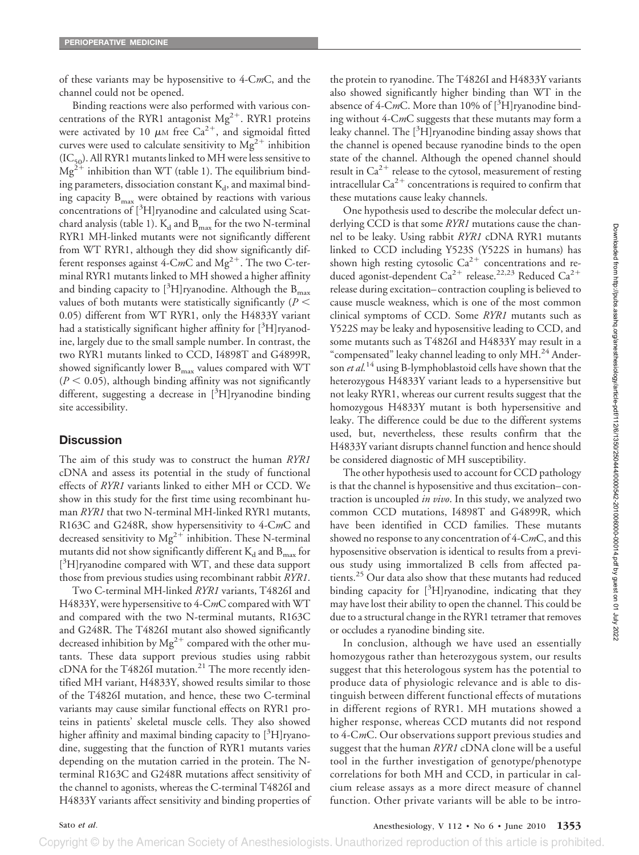of these variants may be hyposensitive to 4-C*m*C, and the channel could not be opened.

Binding reactions were also performed with various concentrations of the RYR1 antagonist  $Mg^{2+}$ . RYR1 proteins were activated by 10  $\mu$ M free Ca<sup>2+</sup>, and sigmoidal fitted curves were used to calculate sensitivity to  $Mg^{2+}$  inhibition  $(IC_{50})$ . All RYR1 mutants linked to MH were less sensitive to  $Mg^{2+}$  inhibition than WT (table 1). The equilibrium binding parameters, dissociation constant  $K_d$ , and maximal binding capacity  $B_{\text{max}}$  were obtained by reactions with various concentrations of [<sup>3</sup>H]ryanodine and calculated using Scatchard analysis (table 1).  $K_d$  and  $B_{max}$  for the two N-terminal RYR1 MH-linked mutants were not significantly different from WT RYR1, although they did show significantly different responses against 4-C*m*C and  $Mg^{2+}$ . The two C-terminal RYR1 mutants linked to MH showed a higher affinity and binding capacity to  $[^3H]$ ryanodine. Although the  $\rm B_{max}$ values of both mutants were statistically significantly (*P* 0.05) different from WT RYR1, only the H4833Y variant had a statistically significant higher affinity for  $[^3H]$ ryanodine, largely due to the small sample number. In contrast, the two RYR1 mutants linked to CCD, I4898T and G4899R, showed significantly lower  $B_{\text{max}}$  values compared with WT  $(P < 0.05)$ , although binding affinity was not significantly different, suggesting a decrease in [3H]ryanodine binding site accessibility.

# **Discussion**

The aim of this study was to construct the human *RYR1* cDNA and assess its potential in the study of functional effects of *RYR1* variants linked to either MH or CCD. We show in this study for the first time using recombinant human *RYR1* that two N-terminal MH-linked RYR1 mutants, R163C and G248R, show hypersensitivity to 4-C*m*C and decreased sensitivity to  $Mg^{2+}$  inhibition. These N-terminal mutants did not show significantly different  $K_d$  and  $B_{max}$  for [<sup>3</sup>H]ryanodine compared with WT, and these data support those from previous studies using recombinant rabbit *RYR1*.

Two C-terminal MH-linked *RYR1* variants, T4826I and H4833Y, were hypersensitive to 4-C*m*C compared with WT and compared with the two N-terminal mutants, R163C and G248R. The T4826I mutant also showed significantly decreased inhibition by  $Mg^{2+}$  compared with the other mutants. These data support previous studies using rabbit cDNA for the T4826I mutation.<sup>21</sup> The more recently identified MH variant, H4833Y, showed results similar to those of the T4826I mutation, and hence, these two C-terminal variants may cause similar functional effects on RYR1 proteins in patients' skeletal muscle cells. They also showed higher affinity and maximal binding capacity to [<sup>3</sup>H]ryanodine, suggesting that the function of RYR1 mutants varies depending on the mutation carried in the protein. The Nterminal R163C and G248R mutations affect sensitivity of the channel to agonists, whereas the C-terminal T4826I and H4833Y variants affect sensitivity and binding properties of the protein to ryanodine. The T4826I and H4833Y variants also showed significantly higher binding than WT in the absence of 4-CmC. More than 10% of [<sup>3</sup>H]ryanodine binding without 4-C*m*C suggests that these mutants may form a leaky channel. The [<sup>3</sup>H]ryanodine binding assay shows that the channel is opened because ryanodine binds to the open state of the channel. Although the opened channel should result in  $Ca^{2+}$  release to the cytosol, measurement of resting intracellular  $Ca^{2+}$  concentrations is required to confirm that these mutations cause leaky channels.

One hypothesis used to describe the molecular defect underlying CCD is that some *RYR1* mutations cause the channel to be leaky. Using rabbit *RYR1* cDNA RYR1 mutants linked to CCD including Y523S (Y522S in humans) has shown high resting cytosolic  $Ca^{2+}$  concentrations and reduced agonist-dependent  $Ca^{2+}$  release.<sup>22,23</sup> Reduced  $Ca^{2+}$ release during excitation– contraction coupling is believed to cause muscle weakness, which is one of the most common clinical symptoms of CCD. Some *RYR1* mutants such as Y522S may be leaky and hyposensitive leading to CCD, and some mutants such as T4826I and H4833Y may result in a "compensated" leaky channel leading to only MH.<sup>24</sup> Anderson *et al.*<sup>14</sup> using B-lymphoblastoid cells have shown that the heterozygous H4833Y variant leads to a hypersensitive but not leaky RYR1, whereas our current results suggest that the homozygous H4833Y mutant is both hypersensitive and leaky. The difference could be due to the different systems used, but, nevertheless, these results confirm that the H4833Y variant disrupts channel function and hence should be considered diagnostic of MH susceptibility.

The other hypothesis used to account for CCD pathology is that the channel is hyposensitive and thus excitation– contraction is uncoupled *in vivo*. In this study, we analyzed two common CCD mutations, I4898T and G4899R, which have been identified in CCD families. These mutants showed no response to any concentration of 4-C*m*C, and this hyposensitive observation is identical to results from a previous study using immortalized B cells from affected patients.25 Our data also show that these mutants had reduced binding capacity for [<sup>3</sup>H]ryanodine, indicating that they may have lost their ability to open the channel. This could be due to a structural change in the RYR1 tetramer that removes or occludes a ryanodine binding site.

In conclusion, although we have used an essentially homozygous rather than heterozygous system, our results suggest that this heterologous system has the potential to produce data of physiologic relevance and is able to distinguish between different functional effects of mutations in different regions of RYR1. MH mutations showed a higher response, whereas CCD mutants did not respond to 4-C*m*C. Our observations support previous studies and suggest that the human *RYR1* cDNA clone will be a useful tool in the further investigation of genotype/phenotype correlations for both MH and CCD, in particular in calcium release assays as a more direct measure of channel function. Other private variants will be able to be intro-

Sato *et al*. Anesthesiology, V 112 • No 6 • June 2010 **1353**

Copyright © by the American Society of Anesthesiologists. Unauthorized reproduction of this article is prohibited.